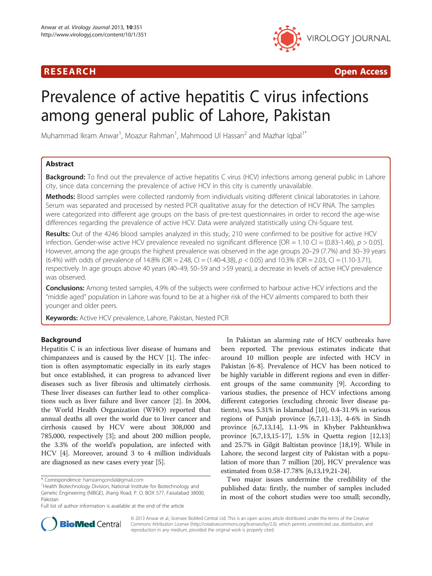# R E S EAR CH Open Access



# Prevalence of active hepatitis C virus infections among general public of Lahore, Pakistan

Muhammad Ikram Anwar<sup>1</sup>, Moazur Rahman<sup>1</sup>, Mahmood Ul Hassan<sup>2</sup> and Mazhar Iqbal<sup>1\*</sup>

# Abstract

**Background:** To find out the prevalence of active hepatitis C virus (HCV) infections among general public in Lahore city, since data concerning the prevalence of active HCV in this city is currently unavailable.

Methods: Blood samples were collected randomly from individuals visiting different clinical laboratories in Lahore. Serum was separated and processed by nested PCR qualitative assay for the detection of HCV RNA. The samples were categorized into different age groups on the basis of pre-test questionnaires in order to record the age-wise differences regarding the prevalence of active HCV. Data were analyzed statistically using Chi-Square test.

Results: Out of the 4246 blood samples analyzed in this study, 210 were confirmed to be positive for active HCV infection. Gender-wise active HCV prevalence revealed no significant difference  $[OR = 1.10 \text{ CI} = (0.83-1.46), p > 0.05]$ . However, among the age groups the highest prevalence was observed in the age groups 20–29 (7.7%) and 30–39 years (6.4%) with odds of prevalence of 14.8% (OR = 2.48, CI = (1.40-4.38),  $p < 0.05$ ) and 10.3% (OR = 2.03, CI = (1.10-3.71), respectively. In age groups above 40 years (40–49, 50–59 and >59 years), a decrease in levels of active HCV prevalence was observed.

Conclusions: Among tested samples, 4.9% of the subjects were confirmed to harbour active HCV infections and the "middle aged" population in Lahore was found to be at a higher risk of the HCV ailments compared to both their younger and older peers.

Keywords: Active HCV prevalence, Lahore, Pakistan, Nested PCR

# Background

Hepatitis C is an infectious liver disease of humans and chimpanzees and is caused by the HCV [[1\]](#page-4-0). The infection is often asymptomatic especially in its early stages but once established, it can progress to advanced liver diseases such as liver fibrosis and ultimately cirrhosis. These liver diseases can further lead to other complications such as liver failure and liver cancer [[2\]](#page-4-0). In 2004, the World Health Organization (WHO) reported that annual deaths all over the world due to liver cancer and cirrhosis caused by HCV were about 308,000 and 785,000, respectively [\[3](#page-4-0)]; and about 200 million people, the 3.3% of the world's population, are infected with HCV [[4\]](#page-4-0). Moreover, around 3 to 4 million individuals are diagnosed as new cases every year [[5\]](#page-4-0).

In Pakistan an alarming rate of HCV outbreaks have been reported. The previous estimates indicate that around 10 million people are infected with HCV in Pakistan [\[6](#page-4-0)-[8\]](#page-4-0). Prevalence of HCV has been noticed to be highly variable in different regions and even in different groups of the same community [[9](#page-4-0)]. According to various studies, the presence of HCV infections among different categories (excluding chronic liver disease patients), was 5.31% in Islamabad [\[10](#page-4-0)], 0.4-31.9% in various regions of Punjab province [\[6,7,11](#page-4-0)-[13](#page-5-0)], 4-6% in Sindh province [[6,7,](#page-4-0)[13,14\]](#page-5-0), 1.1-9% in Khyber Pakhtunkhwa province [\[6](#page-4-0),[7](#page-4-0),[13](#page-5-0),[15](#page-5-0)-[17\]](#page-5-0), 1.5% in Quetta region [[12](#page-4-0),[13](#page-5-0)] and 25.7% in Gilgit Baltistan province [\[18,19\]](#page-5-0). While in Lahore, the second largest city of Pakistan with a population of more than 7 million [\[20](#page-5-0)], HCV prevalence was estimated from 0.58-17.78% [[6,](#page-4-0)[13,19,21-24](#page-5-0)].

Two major issues undermine the credibility of the published data: firstly, the number of samples included in most of the cohort studies were too small; secondly,



© 2013 Anwar et al.; licensee BioMed Central Ltd. This is an open access article distributed under the terms of the Creative Commons Attribution License [\(http://creativecommons.org/licenses/by/2.0\)](http://creativecommons.org/licenses/by/2.0), which permits unrestricted use, distribution, and reproduction in any medium, provided the original work is properly cited.

<sup>\*</sup> Correspondence: [hamzamgondal@gmail.com](mailto:hamzamgondal@gmail.com) <sup>1</sup>

<sup>&</sup>lt;sup>1</sup>Health Biotechnology Division, National Institute for Biotechnology and Genetic Engineering (NIBGE), Jhang Road, P. O. BOX 577, Faisalabad 38000, Pakistan

Full list of author information is available at the end of the article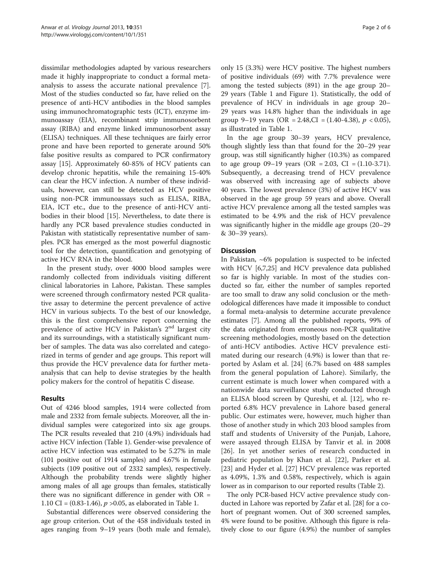dissimilar methodologies adapted by various researchers made it highly inappropriate to conduct a formal metaanalysis to assess the accurate national prevalence [\[7](#page-4-0)]. Most of the studies conducted so far, have relied on the presence of anti-HCV antibodies in the blood samples using immunochromatographic tests (ICT), enzyme immunoassay (EIA), recombinant strip immunosorbent assay (RIBA) and enzyme linked immunosorbent assay (ELISA) techniques. All these techniques are fairly error prone and have been reported to generate around 50% false positive results as compared to PCR confirmatory assay [[15\]](#page-5-0). Approximately 60-85% of HCV patients can develop chronic hepatitis, while the remaining 15-40% can clear the HCV infection. A number of these individuals, however, can still be detected as HCV positive using non-PCR immunoassays such as ELISA, RIBA, EIA, ICT etc., due to the presence of anti-HCV antibodies in their blood [[15](#page-5-0)]. Nevertheless, to date there is hardly any PCR based prevalence studies conducted in Pakistan with statistically representative number of samples. PCR has emerged as the most powerful diagnostic tool for the detection, quantification and genotyping of active HCV RNA in the blood.

In the present study, over 4000 blood samples were randomly collected from individuals visiting different clinical laboratories in Lahore, Pakistan. These samples were screened through confirmatory nested PCR qualitative assay to determine the percent prevalence of active HCV in various subjects. To the best of our knowledge, this is the first comprehensive report concerning the prevalence of active HCV in Pakistan's  $2<sup>nd</sup>$  largest city and its surroundings, with a statistically significant number of samples. The data was also correlated and categorized in terms of gender and age groups. This report will thus provide the HCV prevalence data for further metaanalysis that can help to devise strategies by the health policy makers for the control of hepatitis C disease.

# Results

Out of 4246 blood samples, 1914 were collected from male and 2332 from female subjects. Moreover, all the individual samples were categorized into six age groups. The PCR results revealed that 210 (4.9%) individuals had active HCV infection (Table [1](#page-2-0)). Gender-wise prevalence of active HCV infection was estimated to be 5.27% in male (101 positive out of 1914 samples) and 4.67% in female subjects (109 positive out of 2332 samples), respectively. Although the probability trends were slightly higher among males of all age groups than females, statistically there was no significant difference in gender with  $OR =$ 1.10 CI =  $(0.83-1.46)$ ,  $p > 0.05$ , as elaborated in Table [1.](#page-2-0)

Substantial differences were observed considering the age group criterion. Out of the 458 individuals tested in ages ranging from 9–19 years (both male and female),

only 15 (3.3%) were HCV positive. The highest numbers of positive individuals (69) with 7.7% prevalence were among the tested subjects (891) in the age group 20– 29 years (Table [1](#page-2-0) and Figure [1\)](#page-2-0). Statistically, the odd of prevalence of HCV in individuals in age group 20– 29 years was 14.8% higher than the individuals in age group 9–19 years (OR = 2.48,CI =  $(1.40-4.38)$ ,  $p < 0.05$ ), as illustrated in Table [1.](#page-2-0)

In the age group 30–39 years, HCV prevalence, though slightly less than that found for the 20–29 year group, was still significantly higher (10.3%) as compared to age group 09–19 years (OR = 2.03, CI =  $(1.10-3.71)$ ). Subsequently, a decreasing trend of HCV prevalence was observed with increasing age of subjects above 40 years. The lowest prevalence (3%) of active HCV was observed in the age group 59 years and above. Overall active HCV prevalence among all the tested samples was estimated to be 4.9% and the risk of HCV prevalence was significantly higher in the middle age groups (20–29 & 30–39 years).

# **Discussion**

In Pakistan,  $~6\%$  population is suspected to be infected with HCV [\[6,7](#page-4-0)[,25\]](#page-5-0) and HCV prevalence data published so far is highly variable. In most of the studies conducted so far, either the number of samples reported are too small to draw any solid conclusion or the methodological differences have made it impossible to conduct a formal meta-analysis to determine accurate prevalence estimates [[7](#page-4-0)]. Among all the published reports, 99% of the data originated from erroneous non-PCR qualitative screening methodologies, mostly based on the detection of anti-HCV antibodies. Active HCV prevalence estimated during our research (4.9%) is lower than that reported by Aslam et al. [[24\]](#page-5-0) (6.7% based on 488 samples from the general population of Lahore). Similarly, the current estimate is much lower when compared with a nationwide data surveillance study conducted through an ELISA blood screen by Qureshi, et al. [\[12](#page-4-0)], who reported 6.8% HCV prevalence in Lahore based general public. Our estimates were, however, much higher than those of another study in which 203 blood samples from staff and students of University of the Punjab, Lahore, were assayed through ELISA by Tanvir et al. in 2008 [[26\]](#page-5-0). In yet another series of research conducted in pediatric population by Khan et al. [\[22](#page-5-0)], Parker et al. [[23\]](#page-5-0) and Hyder et al. [[27](#page-5-0)] HCV prevalence was reported as 4.09%, 1.3% and 0.58%, respectively, which is again lower as in comparison to our reported results (Table [2](#page-3-0)).

The only PCR-based HCV active prevalence study conducted in Lahore was reported by Zafar et al. [[28](#page-5-0)] for a cohort of pregnant women. Out of 300 screened samples, 4% were found to be positive. Although this figure is relatively close to our figure (4.9%) the number of samples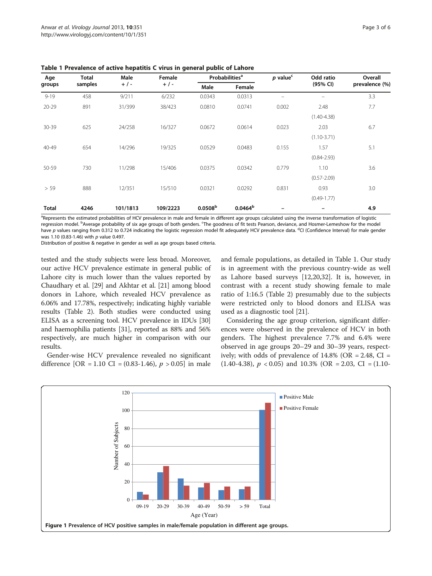| Age<br>groups | <b>Total</b><br>samples | Male<br>$+$ / - | Female<br>$+$ / - | <b>Probabilities<sup>a</sup></b> |            | $p$ value <sup>c</sup> | Odd ratio       | Overall        |
|---------------|-------------------------|-----------------|-------------------|----------------------------------|------------|------------------------|-----------------|----------------|
|               |                         |                 |                   | Male                             | Female     |                        | (95% CI)        | prevalence (%) |
| $9 - 19$      | 458                     | 9/211           | 6/232             | 0.0343                           | 0.0313     |                        |                 | 3.3            |
| $20 - 29$     | 891                     | 31/399          | 38/423            | 0.0810                           | 0.0741     | 0.002                  | 2.48            | 7.7            |
|               |                         |                 |                   |                                  |            |                        | $(1.40 - 4.38)$ |                |
| 30-39         | 625                     | 24/258          | 16/327            | 0.0672                           | 0.0614     | 0.023                  | 2.03            | 6.7            |
|               |                         |                 |                   |                                  |            |                        | $(1.10 - 3.71)$ |                |
| 40-49         | 654                     | 14/296          | 19/325            | 0.0529                           | 0.0483     | 0.155                  | 1.57            | 5.1            |
|               |                         |                 |                   |                                  |            |                        | $(0.84 - 2.93)$ |                |
| 50-59         | 730                     | 11/298          | 15/406            | 0.0375                           | 0.0342     | 0.779                  | 1.10            | 3.6            |
|               |                         |                 |                   |                                  |            |                        | $(0.57 - 2.09)$ |                |
| > 59          | 888                     | 12/351          | 15/510            | 0.0321                           | 0.0292     | 0.831                  | 0.93            | 3.0            |
|               |                         |                 |                   |                                  |            |                        | $(0.49 - 1.77)$ |                |
| <b>Total</b>  | 4246                    | 101/1813        | 109/2223          | 0.0508 <sup>b</sup>              | $0.0464^b$ |                        |                 | 4.9            |

<span id="page-2-0"></span>Table 1 Prevalence of active hepatitis C virus in general public of Lahore

<sup>a</sup>Represents the estimated probabilities of HCV prevalence in male and female in different age groups calculated using the inverse transformation of logistic regression model. <sup>b</sup>Average probability of six age groups of both genders. <sup>c</sup>The goodness of fit tests Pearson, deviance, and Hosmer-Lemeshow for the model have p values ranging from 0.312 to 0.724 indicating the logistic regression model fit adequately HCV prevalence data. <sup>d</sup>CI (Confidence Interval) for male gender<br>was 1.10 (0.83-1.46) with n value 0.497 was 1.10 (0.83-1.46) with p value 0.497. Distribution of positive & negative in gender as well as age groups based criteria.

tested and the study subjects were less broad. Moreover, our active HCV prevalence estimate in general public of Lahore city is much lower than the values reported by Chaudhary et al. [[29](#page-5-0)] and Akhtar et al. [\[21\]](#page-5-0) among blood donors in Lahore, which revealed HCV prevalence as 6.06% and 17.78%, respectively; indicating highly variable results (Table [2](#page-3-0)). Both studies were conducted using ELISA as a screening tool. HCV prevalence in IDUs [[30](#page-5-0)] and haemophilia patients [[31](#page-5-0)], reported as 88% and 56% respectively, are much higher in comparison with our results.

Gender-wise HCV prevalence revealed no significant difference [OR = 1.10 CI = (0.83-1.46),  $p > 0.05$ ] in male and female populations, as detailed in Table 1. Our study is in agreement with the previous country-wide as well as Lahore based surveys [\[12](#page-4-0)[,20,32\]](#page-5-0). It is, however, in contrast with a recent study showing female to male ratio of 1:16.5 (Table [2\)](#page-3-0) presumably due to the subjects were restricted only to blood donors and ELISA was used as a diagnostic tool [\[21](#page-5-0)].

Considering the age group criterion, significant differences were observed in the prevalence of HCV in both genders. The highest prevalence 7.7% and 6.4% were observed in age groups 20–29 and 30–39 years, respectively; with odds of prevalence of  $14.8\%$  (OR = 2.48, CI = (1.40-4.38),  $p < 0.05$ ) and 10.3% (OR = 2.03, CI = (1.10-

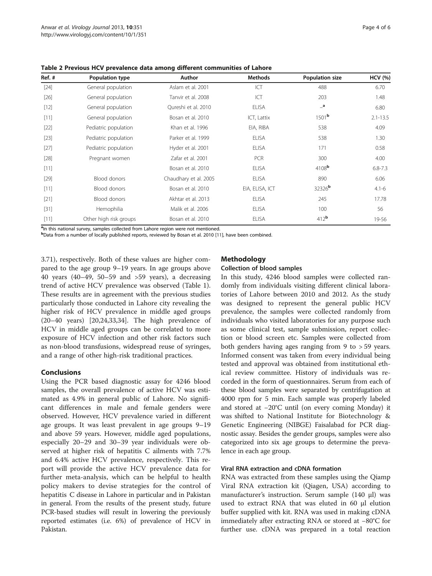| Ref. # | Population type        | Author                | <b>Methods</b>  | <b>Population size</b> | <b>HCV</b> (%) |
|--------|------------------------|-----------------------|-----------------|------------------------|----------------|
| $[24]$ | General population     | Aslam et al. 2001     | ICT             | 488                    | 6.70           |
| $[26]$ | General population     | Tanvir et al. 2008    | ICT             | 203                    | 1.48           |
| $[12]$ | General population     | Qureshi et al. 2010   | <b>ELISA</b>    | $\mathbf{a}$           | 6.80           |
| $[11]$ | General population     | Bosan et al. 2010     | ICT, Lattix     | 1501 <sup>b</sup>      | $2.1 - 13.5$   |
| $[22]$ | Pediatric population   | Khan et al. 1996      | EIA, RIBA       | 538                    | 4.09           |
| $[23]$ | Pediatric population   | Parker et al. 1999    | <b>ELISA</b>    | 538                    | 1.30           |
| $[27]$ | Pediatric population   | Hyder et al. 2001     | <b>ELISA</b>    | 171                    | 0.58           |
| $[28]$ | Pregnant women         | Zafar et al. 2001     | PCR             | 300                    | 4.00           |
| $[11]$ |                        | Bosan et al. 2010     | <b>ELISA</b>    | $4108$ <sup>b</sup>    | $6.8 - 7.3$    |
| $[29]$ | <b>Blood donors</b>    | Chaudhary et al. 2005 | <b>ELISA</b>    | 890                    | 6.06           |
| $[11]$ | Blood donors           | Bosan et al. 2010     | EIA, ELISA, ICT | 32326 <sup>b</sup>     | $4.1 - 6$      |
| $[21]$ | Blood donors           | Akhtar et al. 2013    | <b>ELISA</b>    | 245                    | 17.78          |
| $[31]$ | Hemophilia             | Malik et al. 2006     | <b>ELISA</b>    | 100                    | 56             |
| $[11]$ | Other high risk groups | Bosan et al. 2010     | <b>ELISA</b>    | 412 <sup>b</sup>       | 19-56          |

<span id="page-3-0"></span>Table 2 Previous HCV prevalence data among different communities of Lahore

<sup>a</sup>In this national survey, samples collected from Lahore region were not mentioned.

b Data from a number of locally published reports, reviewed by Bosan et al. 2010 [[11\]](#page-4-0), have been combined.

3.71), respectively. Both of these values are higher compared to the age group 9–19 years. In age groups above 40 years (40–49, 50–59 and >59 years), a decreasing trend of active HCV prevalence was observed (Table [1](#page-2-0)). These results are in agreement with the previous studies particularly those conducted in Lahore city revealing the higher risk of HCV prevalence in middle aged groups (20–40 years) [\[20,24,33,34\]](#page-5-0). The high prevalence of HCV in middle aged groups can be correlated to more exposure of HCV infection and other risk factors such as non-blood transfusions, widespread reuse of syringes, and a range of other high-risk traditional practices.

# Conclusions

Using the PCR based diagnostic assay for 4246 blood samples, the overall prevalence of active HCV was estimated as 4.9% in general public of Lahore. No significant differences in male and female genders were observed. However, HCV prevalence varied in different age groups. It was least prevalent in age groups 9–19 and above 59 years. However, middle aged populations, especially 20–29 and 30–39 year individuals were observed at higher risk of hepatitis C ailments with 7.7% and 6.4% active HCV prevalence, respectively. This report will provide the active HCV prevalence data for further meta-analysis, which can be helpful to health policy makers to devise strategies for the control of hepatitis C disease in Lahore in particular and in Pakistan in general. From the results of the present study, future PCR-based studies will result in lowering the previously reported estimates (i.e. 6%) of prevalence of HCV in Pakistan.

# Methodology

## Collection of blood samples

In this study, 4246 blood samples were collected randomly from individuals visiting different clinical laboratories of Lahore between 2010 and 2012. As the study was designed to represent the general public HCV prevalence, the samples were collected randomly from individuals who visited laboratories for any purpose such as some clinical test, sample submission, report collection or blood screen etc. Samples were collected from both genders having ages ranging from 9 to > 59 years. Informed consent was taken from every individual being tested and approval was obtained from institutional ethical review committee. History of individuals was recorded in the form of questionnaires. Serum from each of these blood samples were separated by centrifugation at 4000 rpm for 5 min. Each sample was properly labeled and stored at −20°C until (on every coming Monday) it was shifted to National Institute for Biotechnology & Genetic Engineering (NIBGE) Faisalabad for PCR diagnostic assay. Besides the gender groups, samples were also categorized into six age groups to determine the prevalence in each age group.

# Viral RNA extraction and cDNA formation

RNA was extracted from these samples using the Qiamp Viral RNA extraction kit (Qiagen, USA) according to manufacturer's instruction. Serum sample (140 μl) was used to extract RNA that was eluted in 60 μl elution buffer supplied with kit. RNA was used in making cDNA immediately after extracting RNA or stored at −80°C for further use. cDNA was prepared in a total reaction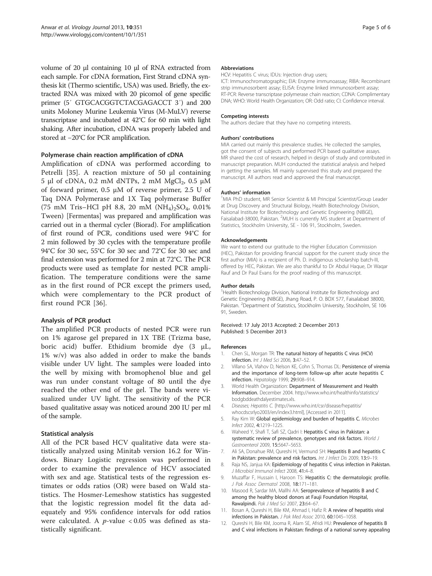<span id="page-4-0"></span>volume of 20 μl containing 10 μl of RNA extracted from each sample. For cDNA formation, First Strand cDNA synthesis kit (Thermo scientific, USA) was used. Briefly, the extracted RNA was mixed with 20 picomol of gene specific primer (5′ GTGCACGGTCTACGAGACCT 3′) and 200 units Moloney Murine Leukemia Virus (M-MuLV) reverse transcriptase and incubated at 42°C for 60 min with light shaking. After incubation, cDNA was properly labeled and stored at −20°C for PCR amplification.

## Polymerase chain reaction amplification of cDNA

Amplification of cDNA was performed according to Petrelli [[35\]](#page-5-0). A reaction mixture of 50 μl containing 5 μl of cDNA, 0.2 mM dNTPs, 2 mM  $MgCl<sub>2</sub>$ , 0.5 μM of forward primer, 0.5 μM of reverse primer, 2.5 U of Taq DNA Polymerase and 1X Taq polymerase Buffer (75 mM Tris–HCl pH 8.8, 20 mM  $(NH_4)_2SO_4$ , 0.01% Tween) [Fermentas] was prepared and amplification was carried out in a thermal cycler (Biorad). For amplification of first round of PCR, conditions used were 94°C for 2 min followed by 30 cycles with the temperature profile 94°C for 30 sec, 55°C for 30 sec and 72°C for 30 sec and final extension was performed for 2 min at 72°C. The PCR products were used as template for nested PCR amplification. The temperature conditions were the same as in the first round of PCR except the primers used, which were complementary to the PCR product of first round PCR [[36\]](#page-5-0).

#### Analysis of PCR product

The amplified PCR products of nested PCR were run on 1% agarose gel prepared in 1X TBE (Trizma base, boric acid) buffer. Ethidium bromide dye (3 μL, 1% w/v) was also added in order to make the bands visible under UV light. The samples were loaded into the well by mixing with bromophenol blue and gel was run under constant voltage of 80 until the dye reached the other end of the gel. The bands were visualized under UV light. The sensitivity of the PCR based qualitative assay was noticed around 200 IU per ml of the sample.

#### Statistical analysis

All of the PCR based HCV qualitative data were statistically analyzed using Minitab version 16.2 for Windows. Binary Logistic regression was performed in order to examine the prevalence of HCV associated with sex and age. Statistical tests of the regression estimates or odds ratios (OR) were based on Wald statistics. The Hosmer-Lemeshow statistics has suggested that the logistic regression model fit the data adequately and 95% confidence intervals for odd ratios were calculated. A  $p$ -value < 0.05 was defined as statistically significant.

#### Abbreviations

HCV: Hepatitis C virus; IDUs: Injection drug users;

ICT: Immunochromatographic; EIA: Enzyme immunoassay; RIBA: Recombinant strip immunosorbent assay; ELISA: Enzyme linked immunosorbent assay; RT-PCR: Reverse transcriptase polymerase chain reaction; CDNA: Complimentary DNA; WHO: World Health Organization; OR: Odd ratio; CI: Confidence interval.

#### Competing interests

The authors declare that they have no competing interests.

#### Authors' contributions

MIA carried out mainly this prevalence studies. He collected the samples, got the consent of subjects and performed PCR based qualitative assays. MR shared the cost of research, helped in design of study and contributed in manuscript preparation. MUH conducted the statistical analysis and helped in getting the samples. MI mainly supervised this study and prepared the manuscript. All authors read and approved the final manuscript.

#### Authors' information <sup>1</sup>

<sup>1</sup>MIA PhD student, MR Senior Scientist & MI Principal Scientist/Group Leader at Drug Discovery and Structural Biology, Health Biotechnology Division, National Institute for Biotechnology and Genetic Engineering (NIBGE), Faisalabad-38000, Pakistan. <sup>2</sup>MUH is currently MS student at Department of Statistics, Stockholm University, SE - 106 91, Stockholm, Sweden.

#### Acknowledgements

We want to extend our gratitude to the Higher Education Commission (HEC), Pakistan for providing financial support for the current study since the first author (MIA) is a recipient of Ph. D. indigenous scholarship batch-III, offered by HEC, Pakistan. We are also thankful to Dr Abdul Haque, Dr Waqar Rauf and Dr Paul Evans for the proof reading of this manuscript.

#### Author details

<sup>1</sup>Health Biotechnology Division, National Institute for Biotechnology and Genetic Engineering (NIBGE), Jhang Road, P. O. BOX 577, Faisalabad 38000, Pakistan. <sup>2</sup>Department of Statistics, Stockholm University, Stockholm, SE 106 91, Sweden.

#### Received: 17 July 2013 Accepted: 2 December 2013 Published: 5 December 2013

#### References

- 1. Chen SL, Morgan TR: The natural history of hepatitis C virus (HCV) infection. Int J Med Sci 2006, 3:47–52.
- 2. Villano SA, Vlahov D, Nelson KE, Cohn S, Thomas DL: Persistence of viremia and the importance of long-term follow-up after acute hepatitis C infection. Hepatology 1999, 29:908–914.
- 3. World Health Organization: Department of Measurement and Health Information. December 2004. [http://www.who.int/healthinfo/statistics/](http://www.who.int/healthinfo/statistics/bodgbddeathdalyestimates.xls) [bodgbddeathdalyestimates.xls.](http://www.who.int/healthinfo/statistics/bodgbddeathdalyestimates.xls)
- 4. Diseases; Hepatitis C. [[http://www.who.int/csr/disease/hepatitis/](http://www.who.int/csr/disease/hepatitis/whocdscsrlyo2003/en/index3.html) [whocdscsrlyo2003/en/index3.html](http://www.who.int/csr/disease/hepatitis/whocdscsrlyo2003/en/index3.html)], [Accessed in 2011].
- 5. Ray Kim W: Global epidemiology and burden of hepatitis C. Microbes Infect 2002, 4:1219–1225.
- 6. Waheed Y, Shafi T, Safi SZ, Qadri I: Hepatitis C virus in Pakistan: a systematic review of prevalence, genotypes and risk factors. World J Gastroenterol 2009, 15:5647–5653.
- 7. Ali SA, Donahue RM, Qureshi H, Vermund SH: Hepatitis B and hepatitis C in Pakistan: prevalence and risk factors. Int J Infect Dis 2009, 13:9-19.
- 8. Raja NS, Janjua KA: Epidemiology of hepatitis C virus infection in Pakistan. J Microbiol Immunol Infect 2008, 41:4–8.
- 9. Muzaffar F, Hussain I, Haroon TS: Hepatitis C: the dermatologic profile. J Pak Assoc Dermatol 2008, 18:171–181.
- 10. Masood R, Sardar MA, Mallhi AA: Seroprevalence of hepatitis B and C among the healthy blood donors at Fauji Foundation Hospital, Rawalpindi. Pak J Med Sci 2007, 23:64–67.
- 11. Bosan A, Qureshi H, Bile KM, Ahmad I, Hafiz R: A review of hepatitis viral infections in Pakistan. J Pak Med Assoc 2010, 60:1045–1058.
- 12. Qureshi H, Bile KM, Jooma R, Alam SE, Afridi HU: Prevalence of hepatitis B and C viral infections in Pakistan: findings of a national survey appealing